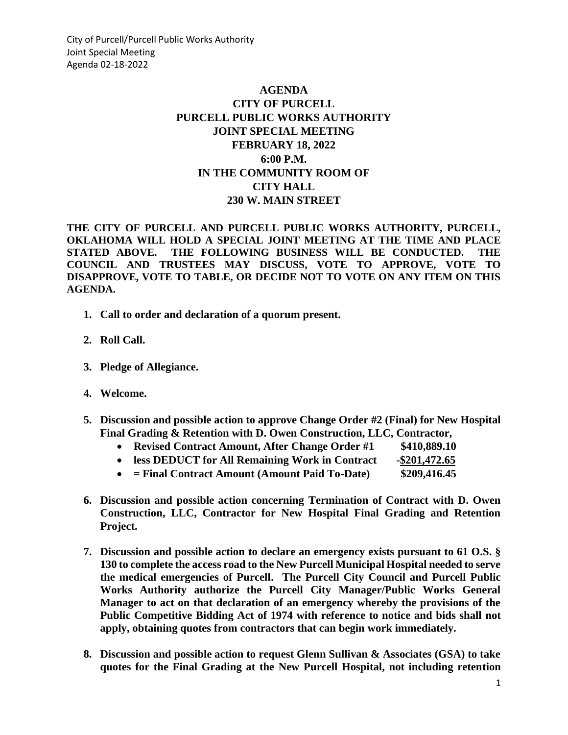City of Purcell/Purcell Public Works Authority Joint Special Meeting Agenda 02-18-2022

## **AGENDA CITY OF PURCELL PURCELL PUBLIC WORKS AUTHORITY JOINT SPECIAL MEETING FEBRUARY 18, 2022 6:00 P.M. IN THE COMMUNITY ROOM OF CITY HALL 230 W. MAIN STREET**

**THE CITY OF PURCELL AND PURCELL PUBLIC WORKS AUTHORITY, PURCELL, OKLAHOMA WILL HOLD A SPECIAL JOINT MEETING AT THE TIME AND PLACE STATED ABOVE. THE FOLLOWING BUSINESS WILL BE CONDUCTED. THE COUNCIL AND TRUSTEES MAY DISCUSS, VOTE TO APPROVE, VOTE TO DISAPPROVE, VOTE TO TABLE, OR DECIDE NOT TO VOTE ON ANY ITEM ON THIS AGENDA.** 

- **1. Call to order and declaration of a quorum present.**
- **2. Roll Call.**
- **3. Pledge of Allegiance.**
- **4. Welcome.**
- **5. Discussion and possible action to approve Change Order #2 (Final) for New Hospital Final Grading & Retention with D. Owen Construction, LLC, Contractor,** 
	- **Revised Contract Amount, After Change Order #1 \$410,889.10**
	- **less DEDUCT for All Remaining Work in Contract -\$201,472.65**
	- **= Final Contract Amount (Amount Paid To-Date) \$209,416.45**
- **6. Discussion and possible action concerning Termination of Contract with D. Owen Construction, LLC, Contractor for New Hospital Final Grading and Retention Project.**
- **7. Discussion and possible action to declare an emergency exists pursuant to 61 O.S. § 130 to complete the access road to the New Purcell Municipal Hospital needed to serve the medical emergencies of Purcell. The Purcell City Council and Purcell Public Works Authority authorize the Purcell City Manager/Public Works General Manager to act on that declaration of an emergency whereby the provisions of the Public Competitive Bidding Act of 1974 with reference to notice and bids shall not apply, obtaining quotes from contractors that can begin work immediately.**
- **8. Discussion and possible action to request Glenn Sullivan & Associates (GSA) to take quotes for the Final Grading at the New Purcell Hospital, not including retention**